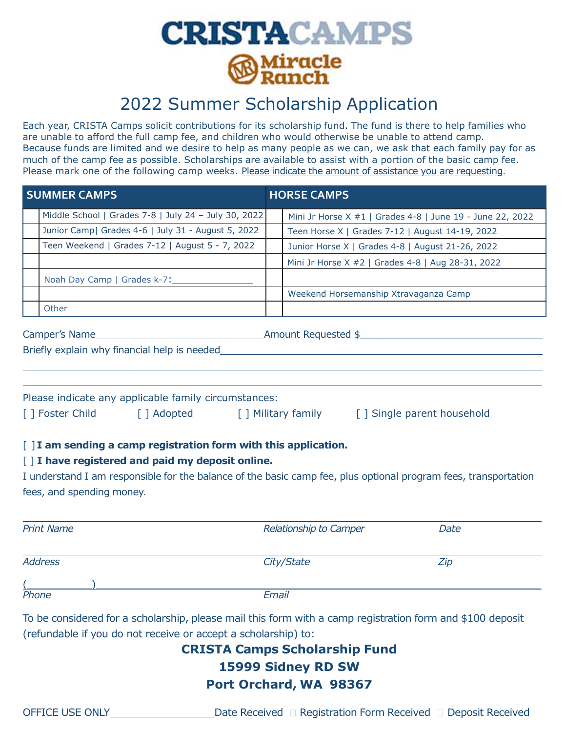

## 2022 Summer Scholarship Application

Each year, CRISTA Camps solicit contributions for its scholarship fund. The fund is there to help families who are unable to afford the full camp fee, and children who would otherwise be unable to attend camp. Because funds are limited and we desire to help as many people as we can, we ask that each family pay for as much of the camp fee as possible. Scholarships are available to assist with a portion of the basic camp fee. Please mark one of the following camp weeks. Please indicate the amount of assistance you are requesting.

|                                                  | <b>SUMMER CAMPS</b>       |                                                                          | <b>HORSE CAMPS</b> |                                                                                                                 |  |  |  |  |  |  |
|--------------------------------------------------|---------------------------|--------------------------------------------------------------------------|--------------------|-----------------------------------------------------------------------------------------------------------------|--|--|--|--|--|--|
|                                                  |                           | Middle School   Grades 7-8   July 24 - July 30, 2022                     |                    | Mini Jr Horse X #1   Grades 4-8   June 19 - June 22, 2022                                                       |  |  |  |  |  |  |
|                                                  |                           | Junior Camp  Grades 4-6   July 31 - August 5, 2022                       |                    | Teen Horse X   Grades 7-12   August 14-19, 2022                                                                 |  |  |  |  |  |  |
|                                                  |                           | Teen Weekend   Grades 7-12   August 5 - 7, 2022                          |                    | Junior Horse X   Grades 4-8   August 21-26, 2022                                                                |  |  |  |  |  |  |
|                                                  |                           |                                                                          |                    | Mini Jr Horse X #2   Grades 4-8   Aug 28-31, 2022                                                               |  |  |  |  |  |  |
|                                                  |                           | Noah Day Camp   Grades k-7:                                              |                    |                                                                                                                 |  |  |  |  |  |  |
|                                                  |                           |                                                                          |                    | Weekend Horsemanship Xtravaganza Camp                                                                           |  |  |  |  |  |  |
|                                                  | Other                     |                                                                          |                    |                                                                                                                 |  |  |  |  |  |  |
|                                                  |                           |                                                                          |                    |                                                                                                                 |  |  |  |  |  |  |
|                                                  |                           |                                                                          |                    |                                                                                                                 |  |  |  |  |  |  |
|                                                  |                           |                                                                          |                    |                                                                                                                 |  |  |  |  |  |  |
|                                                  |                           | Please indicate any applicable family circumstances:                     |                    |                                                                                                                 |  |  |  |  |  |  |
|                                                  |                           | [] Foster Child [] Adopted [] Military family [] Single parent household |                    |                                                                                                                 |  |  |  |  |  |  |
|                                                  |                           |                                                                          |                    |                                                                                                                 |  |  |  |  |  |  |
|                                                  |                           | [] I am sending a camp registration form with this application.          |                    |                                                                                                                 |  |  |  |  |  |  |
| [] I have registered and paid my deposit online. |                           |                                                                          |                    |                                                                                                                 |  |  |  |  |  |  |
|                                                  |                           |                                                                          |                    | I understand I am responsible for the balance of the basic camp fee, plus optional program fees, transportation |  |  |  |  |  |  |
|                                                  | fees, and spending money. |                                                                          |                    |                                                                                                                 |  |  |  |  |  |  |
|                                                  |                           |                                                                          |                    |                                                                                                                 |  |  |  |  |  |  |
|                                                  | <b>Print Name</b>         |                                                                          |                    | Relationship to Camper<br>Date                                                                                  |  |  |  |  |  |  |
|                                                  |                           |                                                                          |                    |                                                                                                                 |  |  |  |  |  |  |
| <b>Address</b>                                   |                           |                                                                          |                    | City/State<br>Zip                                                                                               |  |  |  |  |  |  |
|                                                  |                           |                                                                          |                    |                                                                                                                 |  |  |  |  |  |  |
| Phone                                            |                           |                                                                          | Email              |                                                                                                                 |  |  |  |  |  |  |
|                                                  |                           |                                                                          |                    | To be considered for a scholarship, please mail this form with a camp registration form and \$100 deposit       |  |  |  |  |  |  |
|                                                  |                           | (refundable if you do not receive or accept a scholarship) to:           |                    |                                                                                                                 |  |  |  |  |  |  |
|                                                  |                           |                                                                          |                    | <b>CRISTA Camps Scholarship Fund</b>                                                                            |  |  |  |  |  |  |
| 15999 Sidney RD SW                               |                           |                                                                          |                    |                                                                                                                 |  |  |  |  |  |  |
|                                                  |                           |                                                                          |                    | Port Orchard, WA 98367                                                                                          |  |  |  |  |  |  |
|                                                  |                           |                                                                          |                    |                                                                                                                 |  |  |  |  |  |  |
| <b>OFFICE USE ONLY</b>                           |                           |                                                                          |                    | Date Received □ Registration Form Received □ Deposit Received                                                   |  |  |  |  |  |  |